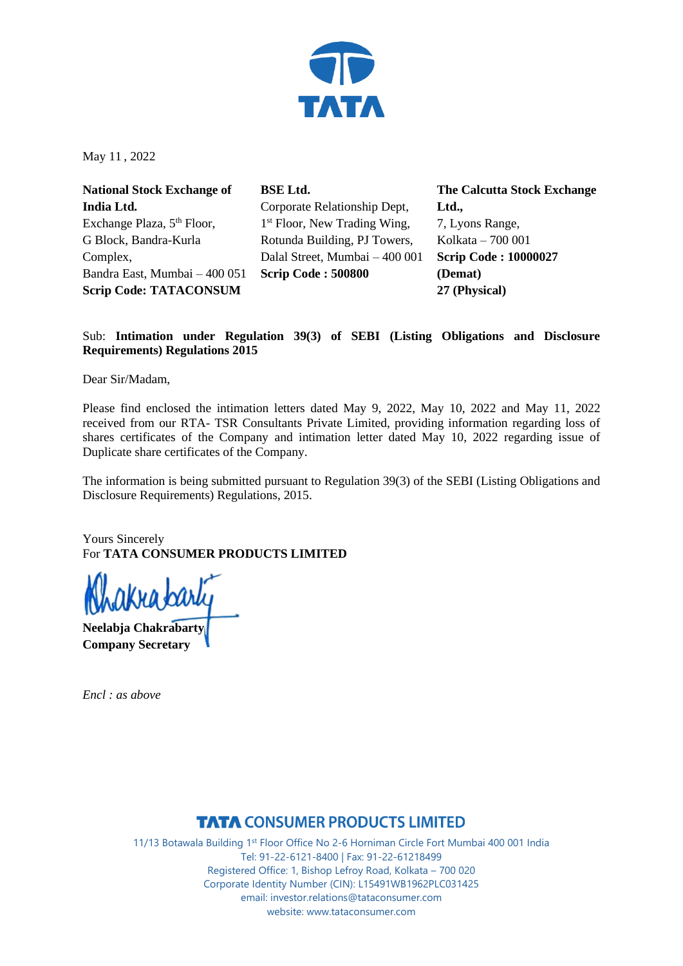

May 11 , 2022

**National Stock Exchange of India Ltd.** Exchange Plaza, 5<sup>th</sup> Floor, G Block, Bandra-Kurla Complex, Bandra East, Mumbai – 400 051 **Scrip Code: TATACONSUM**

**BSE Ltd.** Corporate Relationship Dept, 1<sup>st</sup> Floor, New Trading Wing, Rotunda Building, PJ Towers, Dalal Street, Mumbai – 400 001 **Scrip Code : 500800**

**The Calcutta Stock Exchange Ltd.,** 7, Lyons Range, Kolkata – 700 001 **Scrip Code : 10000027 (Demat) 27 (Physical)**

### Sub: **Intimation under Regulation 39(3) of SEBI (Listing Obligations and Disclosure Requirements) Regulations 2015**

Dear Sir/Madam,

Please find enclosed the intimation letters dated May 9, 2022, May 10, 2022 and May 11, 2022 received from our RTA- TSR Consultants Private Limited, providing information regarding loss of shares certificates of the Company and intimation letter dated May 10, 2022 regarding issue of Duplicate share certificates of the Company.

The information is being submitted pursuant to Regulation 39(3) of the SEBI (Listing Obligations and Disclosure Requirements) Regulations, 2015.

Yours Sincerely For **TATA CONSUMER PRODUCTS LIMITED**

**Neelabja Chakrabarty Company Secretary**

*Encl : as above*

### **TATA CONSUMER PRODUCTS LIMITED**

11/13 Botawala Building 1st Floor Office No 2-6 Horniman Circle Fort Mumbai 400 001 India Tel: 91-22-6121-8400 | Fax: 91-22-61218499 Registered Office: 1, Bishop Lefroy Road, Kolkata – 700 020 Corporate Identity Number (CIN): L15491WB1962PLC031425 email: investor.relations@tataconsumer.com website: www.tataconsumer.com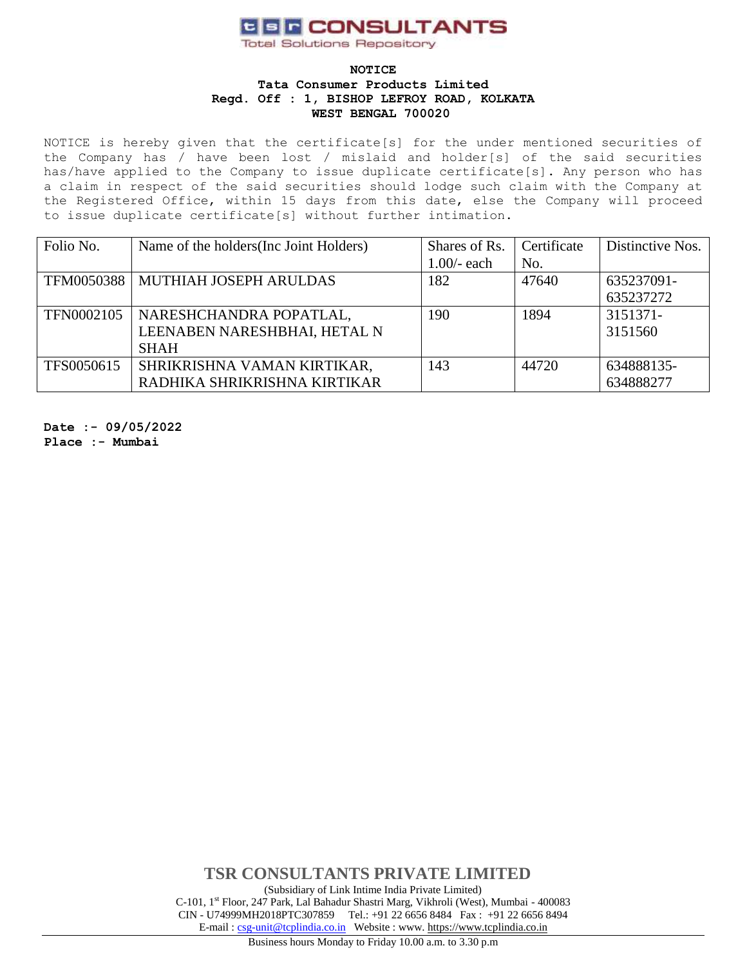# **CER CONSULTANTS**

**Total Solutions Repository** 

#### **NOTICE Tata Consumer Products Limited Regd. Off : 1, BISHOP LEFROY ROAD, KOLKATA WEST BENGAL 700020**

NOTICE is hereby given that the certificate[s] for the under mentioned securities of the Company has / have been lost / mislaid and holder[s] of the said securities has/have applied to the Company to issue duplicate certificate[s]. Any person who has a claim in respect of the said securities should lodge such claim with the Company at the Registered Office, within 15 days from this date, else the Company will proceed to issue duplicate certificate[s] without further intimation.

| Folio No.  | Name of the holders (Inc Joint Holders) | Shares of Rs. | Certificate | Distinctive Nos. |
|------------|-----------------------------------------|---------------|-------------|------------------|
|            |                                         | $1.00/-$ each | No.         |                  |
|            | TFM0050388   MUTHIAH JOSEPH ARULDAS     | 182           | 47640       | 635237091-       |
|            |                                         |               |             | 635237272        |
| TFN0002105 | NARESHCHANDRA POPATLAL,                 | 190           | 1894        | 3151371-         |
|            | LEENABEN NARESHBHAI, HETAL N            |               |             | 3151560          |
|            | <b>SHAH</b>                             |               |             |                  |
| TFS0050615 | SHRIKRISHNA VAMAN KIRTIKAR,             | 143           | 44720       | 634888135-       |
|            | RADHIKA SHRIKRISHNA KIRTIKAR            |               |             | 634888277        |

**Date :- 09/05/2022 Place :- Mumbai**

> **TSR CONSULTANTS PRIVATE LIMITED** (Subsidiary of Link Intime India Private Limited) C-101, 1st Floor, 247 Park, Lal Bahadur Shastri Marg, Vikhroli (West), Mumbai - 400083 CIN - U74999MH2018PTC307859Tel.: +91 22 6656 8484 Fax : +91 22 6656 8494 E-mail [: csg-unit@tcplindia.co.in](mailto:csg-unit@tcplindia.co.in) Website : www. [https://www.tcplindia.co.in](http://www.tsrdarashaw.com/) Business hours Monday to Friday 10.00 a.m. to 3.30 p.m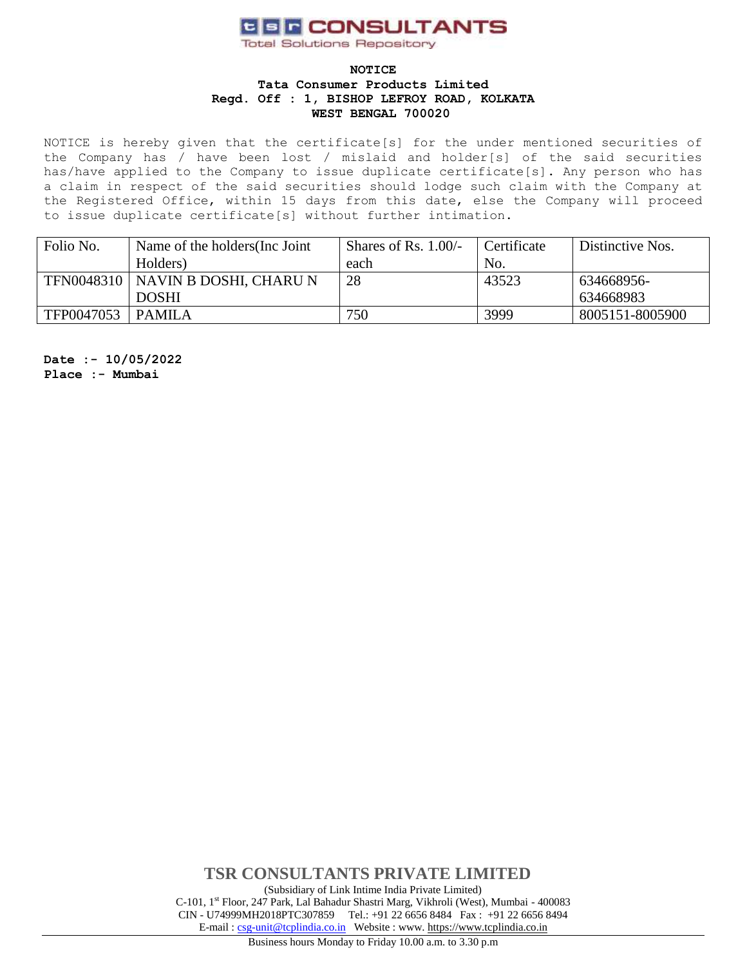# **CER CONSULTANTS**

**Total Solutions Repository** 

#### **NOTICE**

**Tata Consumer Products Limited Regd. Off : 1, BISHOP LEFROY ROAD, KOLKATA WEST BENGAL 700020** 

NOTICE is hereby given that the certificate[s] for the under mentioned securities of the Company has / have been lost / mislaid and holder[s] of the said securities has/have applied to the Company to issue duplicate certificate[s]. Any person who has a claim in respect of the said securities should lodge such claim with the Company at the Registered Office, within 15 days from this date, else the Company will proceed to issue duplicate certificate[s] without further intimation.

| Folio No.  | Name of the holders (Inc. Joint     | Shares of Rs. $1.00/-$ | Certificate | Distinctive Nos. |
|------------|-------------------------------------|------------------------|-------------|------------------|
|            | Holders)                            | each                   | No.         |                  |
|            | TFN0048310   NAVIN B DOSHI, CHARU N | 28                     | 43523       | 634668956-       |
|            | <b>DOSHI</b>                        |                        |             | 634668983        |
| TFP0047053 | PAMILA                              | 750                    | 3999        | 8005151-8005900  |

**Date :- 10/05/2022 Place :- Mumbai**

> **TSR CONSULTANTS PRIVATE LIMITED** (Subsidiary of Link Intime India Private Limited) C-101, 1st Floor, 247 Park, Lal Bahadur Shastri Marg, Vikhroli (West), Mumbai - 400083 CIN - U74999MH2018PTC307859Tel.: +91 22 6656 8484 Fax : +91 22 6656 8494 E-mail [: csg-unit@tcplindia.co.in](mailto:csg-unit@tcplindia.co.in) Website : www. [https://www.tcplindia.co.in](http://www.tsrdarashaw.com/)

Business hours Monday to Friday 10.00 a.m. to 3.30 p.m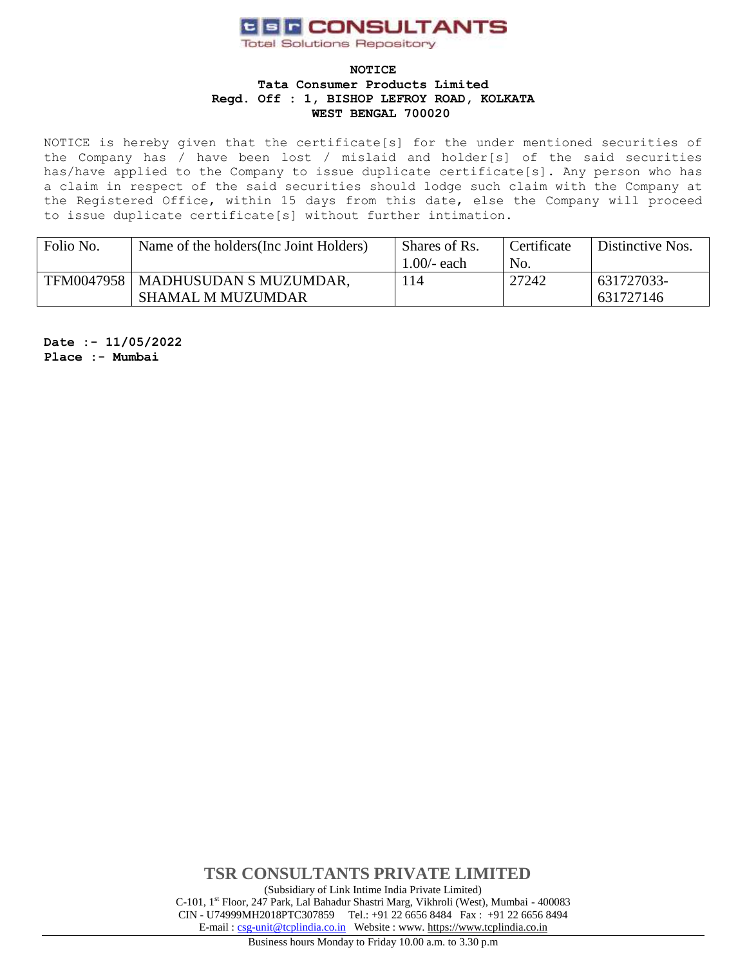# **CER CONSULTANTS**

**Total Solutions Repository** 

#### **NOTICE Tata Consumer Products Limited Regd. Off : 1, BISHOP LEFROY ROAD, KOLKATA WEST BENGAL 700020**

NOTICE is hereby given that the certificate[s] for the under mentioned securities of the Company has / have been lost / mislaid and holder[s] of the said securities has/have applied to the Company to issue duplicate certificate[s]. Any person who has a claim in respect of the said securities should lodge such claim with the Company at the Registered Office, within 15 days from this date, else the Company will proceed to issue duplicate certificate[s] without further intimation.

| Folio No. | Name of the holders (Inc. Joint Holders) | Shares of Rs. | Certificate | Distinctive Nos. |
|-----------|------------------------------------------|---------------|-------------|------------------|
|           |                                          | .00/- each    | No.         |                  |
|           | TFM0047958   MADHUSUDAN S MUZUMDAR,      | 114           | 27242       | 631727033-       |
|           | <b>SHAMAL M MUZUMDAR</b>                 |               |             | 631727146        |

**Date :- 11/05/2022 Place :- Mumbai**

> **TSR CONSULTANTS PRIVATE LIMITED** (Subsidiary of Link Intime India Private Limited) C-101, 1st Floor, 247 Park, Lal Bahadur Shastri Marg, Vikhroli (West), Mumbai - 400083 CIN - U74999MH2018PTC307859Tel.: +91 22 6656 8484 Fax : +91 22 6656 8494 E-mail [: csg-unit@tcplindia.co.in](mailto:csg-unit@tcplindia.co.in) Website : www. [https://www.tcplindia.co.in](http://www.tsrdarashaw.com/)